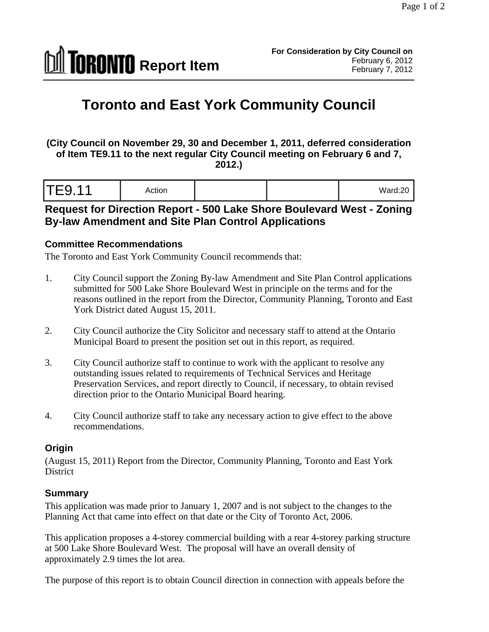

# **Toronto and East York Community Council**

**(City Council on November 29, 30 and December 1, 2011, deferred consideration of Item TE9.11 to the next regular City Council meeting on February 6 and 7, 2012.)** 

| <b>TE9.11</b><br>$\sim$ 1 $\sim$ | Action |  | Ward: $20$ |  |  |
|----------------------------------|--------|--|------------|--|--|
|----------------------------------|--------|--|------------|--|--|

### **Request for Direction Report - 500 Lake Shore Boulevard West - Zoning By-law Amendment and Site Plan Control Applications**

#### **Committee Recommendations**

The Toronto and East York Community Council recommends that:

- 1. City Council support the Zoning By-law Amendment and Site Plan Control applications submitted for 500 Lake Shore Boulevard West in principle on the terms and for the reasons outlined in the report from the Director, Community Planning, Toronto and East York District dated August 15, 2011.
- 2. City Council authorize the City Solicitor and necessary staff to attend at the Ontario Municipal Board to present the position set out in this report, as required.
- 3. City Council authorize staff to continue to work with the applicant to resolve any outstanding issues related to requirements of Technical Services and Heritage Preservation Services, and report directly to Council, if necessary, to obtain revised direction prior to the Ontario Municipal Board hearing.
- 4. City Council authorize staff to take any necessary action to give effect to the above recommendations.

#### **Origin**

(August 15, 2011) Report from the Director, Community Planning, Toronto and East York District the contract of the contract of the contract of the contract of the contract of the contract of the contract of the contract of the contract of the contract of the contract of the contract of the contract of the c

#### **Summary**

This application was made prior to January 1, 2007 and is not subject to the changes to the Planning Act that came into effect on that date or the City of Toronto Act, 2006.

This application proposes a 4-storey commercial building with a rear 4-storey parking structure at 500 Lake Shore Boulevard West. The proposal will have an overall density of approximately 2.9 times the lot area.

The purpose of this report is to obtain Council direction in connection with appeals before the